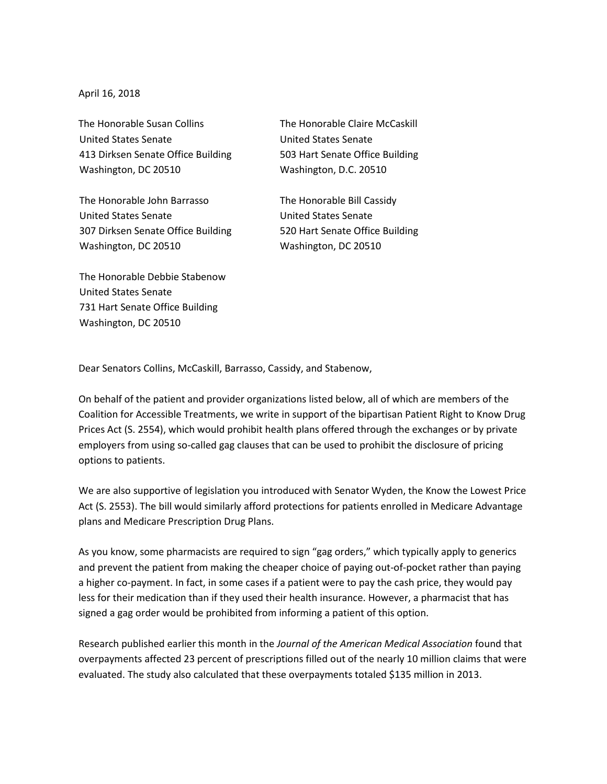April 16, 2018

The Honorable Susan Collins United States Senate 413 Dirksen Senate Office Building Washington, DC 20510

The Honorable John Barrasso United States Senate 307 Dirksen Senate Office Building Washington, DC 20510

The Honorable Debbie Stabenow United States Senate 731 Hart Senate Office Building Washington, DC 20510

The Honorable Claire McCaskill United States Senate 503 Hart Senate Office Building Washington, D.C. 20510

The Honorable Bill Cassidy United States Senate 520 Hart Senate Office Building Washington, DC 20510

Dear Senators Collins, McCaskill, Barrasso, Cassidy, and Stabenow,

On behalf of the patient and provider organizations listed below, all of which are members of the Coalition for Accessible Treatments, we write in support of the bipartisan Patient Right to Know Drug Prices Act (S. 2554), which would prohibit health plans offered through the exchanges or by private employers from using so-called gag clauses that can be used to prohibit the disclosure of pricing options to patients.

We are also supportive of legislation you introduced with Senator Wyden, the Know the Lowest Price Act (S. 2553). The bill would similarly afford protections for patients enrolled in Medicare Advantage plans and Medicare Prescription Drug Plans.

As you know, some pharmacists are required to sign "gag orders," which typically apply to generics and prevent the patient from making the cheaper choice of paying out-of-pocket rather than paying a higher co-payment. In fact, in some cases if a patient were to pay the cash price, they would pay less for their medication than if they used their health insurance. However, a pharmacist that has signed a gag order would be prohibited from informing a patient of this option.

Research published earlier this month in the *Journal of the American Medical Association* found that overpayments affected 23 percent of prescriptions filled out of the nearly 10 million claims that were evaluated. The study also calculated that these overpayments totaled \$135 million in 2013.